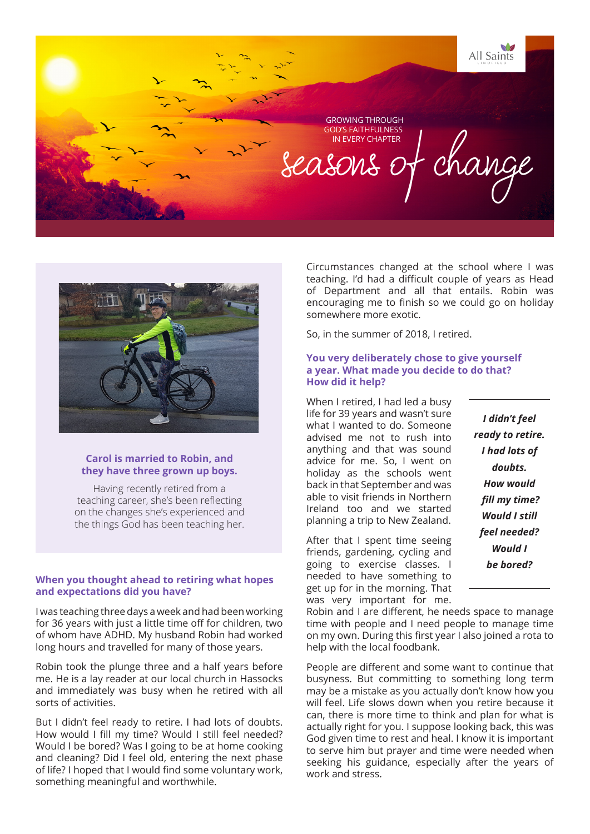



## **Carol is married to Robin, and they have three grown up boys.**

Having recently retired from a teaching career, she's been reflecting on the changes she's experienced and the things God has been teaching her.

## **When you thought ahead to retiring what hopes and expectations did you have?**

I was teaching three days a week and had been working for 36 years with just a little time off for children, two of whom have ADHD. My husband Robin had worked long hours and travelled for many of those years.

Robin took the plunge three and a half years before me. He is a lay reader at our local church in Hassocks and immediately was busy when he retired with all sorts of activities.

But I didn't feel ready to retire. I had lots of doubts. How would I fill my time? Would I still feel needed? Would I be bored? Was I going to be at home cooking and cleaning? Did I feel old, entering the next phase of life? I hoped that I would find some voluntary work, something meaningful and worthwhile.

Circumstances changed at the school where I was teaching. I'd had a difficult couple of years as Head of Department and all that entails. Robin was encouraging me to finish so we could go on holiday somewhere more exotic.

So, in the summer of 2018, I retired.

#### **You very deliberately chose to give yourself a year. What made you decide to do that? How did it help?**

When I retired, I had led a busy life for 39 years and wasn't sure what I wanted to do. Someone advised me not to rush into anything and that was sound advice for me. So, I went on holiday as the schools went back in that September and was able to visit friends in Northern Ireland too and we started planning a trip to New Zealand.

After that I spent time seeing friends, gardening, cycling and going to exercise classes. I needed to have something to get up for in the morning. That was very important for me.

Robin and I are different, he needs space to manage time with people and I need people to manage time on my own. During this first year I also joined a rota to help with the local foodbank.

People are different and some want to continue that busyness. But committing to something long term may be a mistake as you actually don't know how you will feel. Life slows down when you retire because it can, there is more time to think and plan for what is actually right for you. I suppose looking back, this was God given time to rest and heal. I know it is important to serve him but prayer and time were needed when seeking his guidance, especially after the years of work and stress.

*I didn't feel ready to retire. I had lots of doubts. How would fill my time? Would I still feel needed? Would I be bored?*